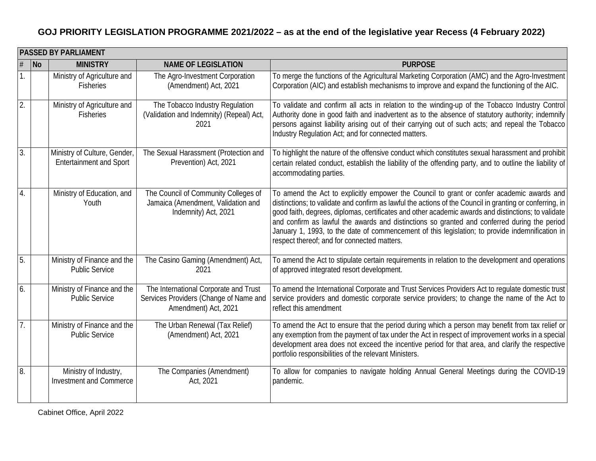|                  | <b>PASSED BY PARLIAMENT</b> |                                                                |                                                                                                         |                                                                                                                                                                                                                                                                                                                                                                                                                                                                                                                                                                |  |
|------------------|-----------------------------|----------------------------------------------------------------|---------------------------------------------------------------------------------------------------------|----------------------------------------------------------------------------------------------------------------------------------------------------------------------------------------------------------------------------------------------------------------------------------------------------------------------------------------------------------------------------------------------------------------------------------------------------------------------------------------------------------------------------------------------------------------|--|
| #                | $\overline{\mathsf{No}}$    | <b>MINISTRY</b>                                                | <b>NAME OF LEGISLATION</b>                                                                              | <b>PURPOSE</b>                                                                                                                                                                                                                                                                                                                                                                                                                                                                                                                                                 |  |
| $\mathbf{1}$     |                             | Ministry of Agriculture and<br><b>Fisheries</b>                | The Agro-Investment Corporation<br>(Amendment) Act, 2021                                                | To merge the functions of the Agricultural Marketing Corporation (AMC) and the Agro-Investment<br>Corporation (AIC) and establish mechanisms to improve and expand the functioning of the AIC.                                                                                                                                                                                                                                                                                                                                                                 |  |
| $\overline{2}$ . |                             | Ministry of Agriculture and<br><b>Fisheries</b>                | The Tobacco Industry Regulation<br>(Validation and Indemnity) (Repeal) Act,<br>2021                     | To validate and confirm all acts in relation to the winding-up of the Tobacco Industry Control<br>Authority done in good faith and inadvertent as to the absence of statutory authority; indemnify<br>persons against liability arising out of their carrying out of such acts; and repeal the Tobacco<br>Industry Regulation Act; and for connected matters.                                                                                                                                                                                                  |  |
| $\overline{3}$ . |                             | Ministry of Culture, Gender,<br><b>Entertainment and Sport</b> | The Sexual Harassment (Protection and<br>Prevention) Act, 2021                                          | To highlight the nature of the offensive conduct which constitutes sexual harassment and prohibit<br>certain related conduct, establish the liability of the offending party, and to outline the liability of<br>accommodating parties.                                                                                                                                                                                                                                                                                                                        |  |
| $\overline{4}$ . |                             | Ministry of Education, and<br>Youth                            | The Council of Community Colleges of<br>Jamaica (Amendment, Validation and<br>Indemnity) Act, 2021      | To amend the Act to explicitly empower the Council to grant or confer academic awards and<br>distinctions; to validate and confirm as lawful the actions of the Council in granting or conferring, in<br>good faith, degrees, diplomas, certificates and other academic awards and distinctions; to validate<br>and confirm as lawful the awards and distinctions so granted and conferred during the period<br>January 1, 1993, to the date of commencement of this legislation; to provide indemnification in<br>respect thereof; and for connected matters. |  |
| 5.               |                             | Ministry of Finance and the<br><b>Public Service</b>           | The Casino Gaming (Amendment) Act,<br>2021                                                              | To amend the Act to stipulate certain requirements in relation to the development and operations<br>of approved integrated resort development.                                                                                                                                                                                                                                                                                                                                                                                                                 |  |
| 6.               |                             | Ministry of Finance and the<br><b>Public Service</b>           | The International Corporate and Trust<br>Services Providers (Change of Name and<br>Amendment) Act, 2021 | To amend the International Corporate and Trust Services Providers Act to regulate domestic trust<br>service providers and domestic corporate service providers; to change the name of the Act to<br>reflect this amendment                                                                                                                                                                                                                                                                                                                                     |  |
| $\overline{7}$ . |                             | Ministry of Finance and the<br><b>Public Service</b>           | The Urban Renewal (Tax Relief)<br>(Amendment) Act, 2021                                                 | To amend the Act to ensure that the period during which a person may benefit from tax relief or<br>any exemption from the payment of tax under the Act in respect of improvement works in a special<br>development area does not exceed the incentive period for that area, and clarify the respective<br>portfolio responsibilities of the relevant Ministers.                                                                                                                                                                                                |  |
| 8.               |                             | Ministry of Industry,<br><b>Investment and Commerce</b>        | The Companies (Amendment)<br>Act, 2021                                                                  | To allow for companies to navigate holding Annual General Meetings during the COVID-19<br>pandemic.                                                                                                                                                                                                                                                                                                                                                                                                                                                            |  |

Cabinet Office, April 2022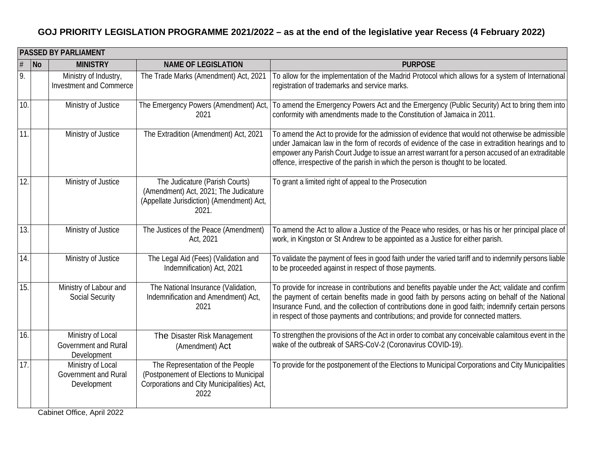|      | <b>PASSED BY PARLIAMENT</b> |                                                                 |                                                                                                                                   |                                                                                                                                                                                                                                                                                                                                                                                                |  |
|------|-----------------------------|-----------------------------------------------------------------|-----------------------------------------------------------------------------------------------------------------------------------|------------------------------------------------------------------------------------------------------------------------------------------------------------------------------------------------------------------------------------------------------------------------------------------------------------------------------------------------------------------------------------------------|--|
| $\#$ | No                          | <b>MINISTRY</b>                                                 | <b>NAME OF LEGISLATION</b>                                                                                                        | <b>PURPOSE</b>                                                                                                                                                                                                                                                                                                                                                                                 |  |
| 9.   |                             | Ministry of Industry,<br><b>Investment and Commerce</b>         | The Trade Marks (Amendment) Act, 2021                                                                                             | To allow for the implementation of the Madrid Protocol which allows for a system of International<br>registration of trademarks and service marks.                                                                                                                                                                                                                                             |  |
| 10.  |                             | Ministry of Justice                                             | The Emergency Powers (Amendment) Act<br>2021                                                                                      | To amend the Emergency Powers Act and the Emergency (Public Security) Act to bring them into<br>conformity with amendments made to the Constitution of Jamaica in 2011.                                                                                                                                                                                                                        |  |
| 11.  |                             | Ministry of Justice                                             | The Extradition (Amendment) Act, 2021                                                                                             | To amend the Act to provide for the admission of evidence that would not otherwise be admissible<br>under Jamaican law in the form of records of evidence of the case in extradition hearings and to<br>empower any Parish Court Judge to issue an arrest warrant for a person accused of an extraditable<br>offence, irrespective of the parish in which the person is thought to be located. |  |
| 12.  |                             | Ministry of Justice                                             | The Judicature (Parish Courts)<br>(Amendment) Act, 2021; The Judicature<br>(Appellate Jurisdiction) (Amendment) Act,<br>2021.     | To grant a limited right of appeal to the Prosecution                                                                                                                                                                                                                                                                                                                                          |  |
| 13.  |                             | Ministry of Justice                                             | The Justices of the Peace (Amendment)<br>Act, 2021                                                                                | To amend the Act to allow a Justice of the Peace who resides, or has his or her principal place of<br>work, in Kingston or St Andrew to be appointed as a Justice for either parish.                                                                                                                                                                                                           |  |
| 14.  |                             | Ministry of Justice                                             | The Legal Aid (Fees) (Validation and<br>Indemnification) Act, 2021                                                                | To validate the payment of fees in good faith under the varied tariff and to indemnify persons liable<br>to be proceeded against in respect of those payments.                                                                                                                                                                                                                                 |  |
| 15.  |                             | Ministry of Labour and<br><b>Social Security</b>                | The National Insurance (Validation,<br>Indemnification and Amendment) Act,<br>2021                                                | To provide for increase in contributions and benefits payable under the Act; validate and confirm<br>the payment of certain benefits made in good faith by persons acting on behalf of the National<br>Insurance Fund, and the collection of contributions done in good faith; indemnify certain persons<br>in respect of those payments and contributions; and provide for connected matters. |  |
| 16.  |                             | Ministry of Local<br>Government and Rural<br>Development        | The Disaster Risk Management<br>(Amendment) Act                                                                                   | To strengthen the provisions of the Act in order to combat any conceivable calamitous event in the<br>wake of the outbreak of SARS-CoV-2 (Coronavirus COVID-19).                                                                                                                                                                                                                               |  |
| 17.  |                             | Ministry of Local<br><b>Government and Rural</b><br>Development | The Representation of the People<br>(Postponement of Elections to Municipal<br>Corporations and City Municipalities) Act,<br>2022 | To provide for the postponement of the Elections to Municipal Corporations and City Municipalities                                                                                                                                                                                                                                                                                             |  |

Cabinet Office, April 2022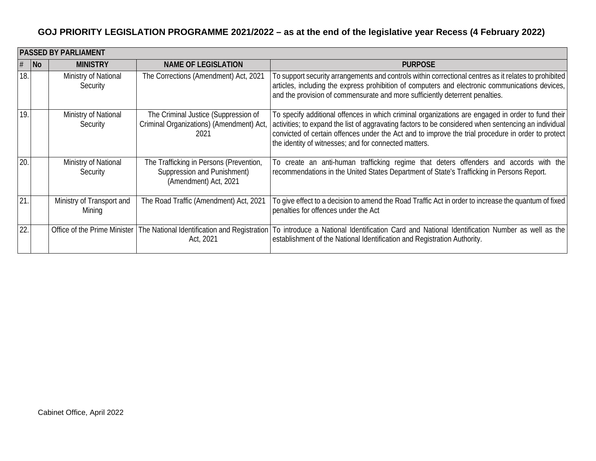|     | <b>PASSED BY PARLIAMENT</b> |                                     |                                                                                                 |                                                                                                                                                                                                                                                                                                                                                                          |  |
|-----|-----------------------------|-------------------------------------|-------------------------------------------------------------------------------------------------|--------------------------------------------------------------------------------------------------------------------------------------------------------------------------------------------------------------------------------------------------------------------------------------------------------------------------------------------------------------------------|--|
| #   | No                          | <b>MINISTRY</b>                     | <b>NAME OF LEGISLATION</b>                                                                      | <b>PURPOSE</b>                                                                                                                                                                                                                                                                                                                                                           |  |
| 18. |                             | Ministry of National<br>Security    | The Corrections (Amendment) Act, 2021                                                           | To support security arrangements and controls within correctional centres as it relates to prohibited<br>articles, including the express prohibition of computers and electronic communications devices,<br>and the provision of commensurate and more sufficiently deterrent penalties.                                                                                 |  |
| 19. |                             | Ministry of National<br>Security    | The Criminal Justice (Suppression of<br>Criminal Organizations) (Amendment) Act<br>2021         | To specify additional offences in which criminal organizations are engaged in order to fund their<br>activities; to expand the list of aggravating factors to be considered when sentencing an individual<br>convicted of certain offences under the Act and to improve the trial procedure in order to protect<br>the identity of witnesses; and for connected matters. |  |
| 20. |                             | Ministry of National<br>Security    | The Trafficking in Persons (Prevention,<br>Suppression and Punishment)<br>(Amendment) Act, 2021 | To create an anti-human trafficking regime that deters offenders and accords with the<br>recommendations in the United States Department of State's Trafficking in Persons Report.                                                                                                                                                                                       |  |
| 21. |                             | Ministry of Transport and<br>Mining | The Road Traffic (Amendment) Act, 2021                                                          | To give effect to a decision to amend the Road Traffic Act in order to increase the quantum of fixed<br>penalties for offences under the Act                                                                                                                                                                                                                             |  |
| 22. |                             |                                     | Office of the Prime Minister   The National Identification and Registration<br>Act, 2021        | To introduce a National Identification Card and National Identification Number as well as the<br>establishment of the National Identification and Registration Authority.                                                                                                                                                                                                |  |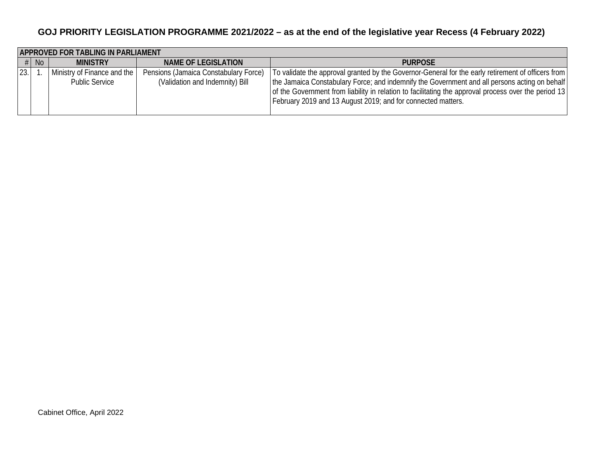|      | <b>APPROVED FOR TABLING IN PARLIAMENT</b> |                                                      |                                                                          |                                                                                                                                                                                                                                                                                                                                                                              |  |
|------|-------------------------------------------|------------------------------------------------------|--------------------------------------------------------------------------|------------------------------------------------------------------------------------------------------------------------------------------------------------------------------------------------------------------------------------------------------------------------------------------------------------------------------------------------------------------------------|--|
|      | $#$ No                                    | <b>MINISTRY</b>                                      | NAME OF LEGISLATION                                                      | <b>PURPOSE</b>                                                                                                                                                                                                                                                                                                                                                               |  |
| 23.1 |                                           | Ministry of Finance and the<br><b>Public Service</b> | Pensions (Jamaica Constabulary Force)<br>(Validation and Indemnity) Bill | To validate the approval granted by the Governor-General for the early retirement of officers from<br>[the Jamaica Constabulary Force; and indemnify the Government and all persons acting on behalf<br>of the Government from liability in relation to facilitating the approval process over the period 13<br>February 2019 and 13 August 2019; and for connected matters. |  |
|      |                                           |                                                      |                                                                          |                                                                                                                                                                                                                                                                                                                                                                              |  |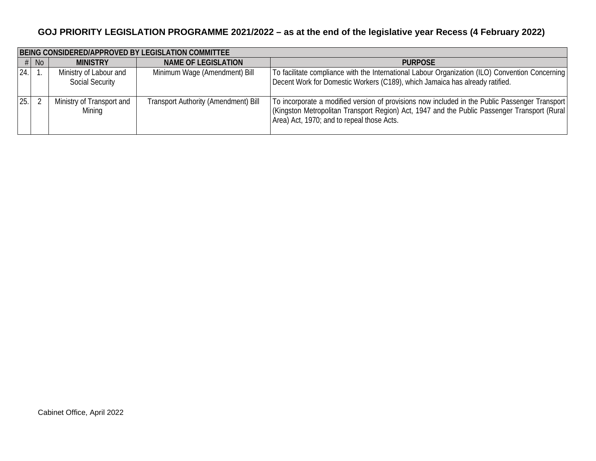|      | BEING CONSIDERED/APPROVED BY LEGISLATION COMMITTEE |                                                  |                                             |                                                                                                                                                                                                                                               |  |
|------|----------------------------------------------------|--------------------------------------------------|---------------------------------------------|-----------------------------------------------------------------------------------------------------------------------------------------------------------------------------------------------------------------------------------------------|--|
|      | $#$ No                                             | <b>MINISTRY</b>                                  | <b>NAME OF LEGISLATION</b>                  | <b>PURPOSE</b>                                                                                                                                                                                                                                |  |
| 24.  |                                                    | Ministry of Labour and<br><b>Social Security</b> | Minimum Wage (Amendment) Bill               | To facilitate compliance with the International Labour Organization (ILO) Convention Concerning<br>Decent Work for Domestic Workers (C189), which Jamaica has already ratified.                                                               |  |
| 25.1 |                                                    | Ministry of Transport and<br>Mining              | <b>Transport Authority (Amendment) Bill</b> | To incorporate a modified version of provisions now included in the Public Passenger Transport<br>(Kingston Metropolitan Transport Region) Act, 1947 and the Public Passenger Transport (Rural)<br>Area) Act, 1970; and to repeal those Acts. |  |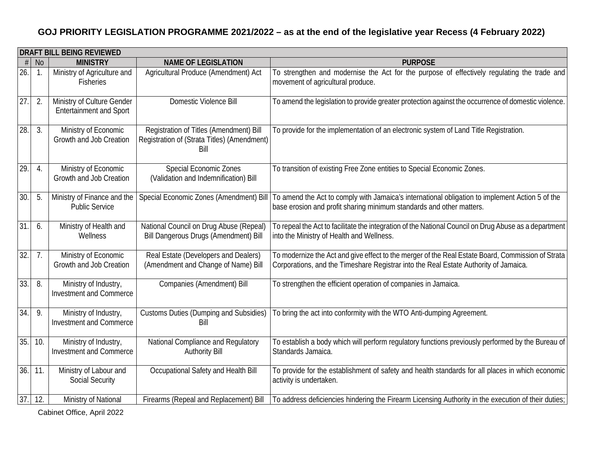|                   | <b>DRAFT BILL BEING REVIEWED</b> |                                                              |                                                                                                |                                                                                                                                                                                           |  |
|-------------------|----------------------------------|--------------------------------------------------------------|------------------------------------------------------------------------------------------------|-------------------------------------------------------------------------------------------------------------------------------------------------------------------------------------------|--|
| #                 | <b>No</b>                        | <b>MINISTRY</b>                                              | <b>NAME OF LEGISLATION</b>                                                                     | <b>PURPOSE</b>                                                                                                                                                                            |  |
| $\overline{26}$ . |                                  | Ministry of Agriculture and<br><b>Fisheries</b>              | Agricultural Produce (Amendment) Act                                                           | To strengthen and modernise the Act for the purpose of effectively regulating the trade and<br>movement of agricultural produce.                                                          |  |
| 27.               | 2.                               | Ministry of Culture Gender<br><b>Entertainment and Sport</b> | Domestic Violence Bill                                                                         | To amend the legislation to provide greater protection against the occurrence of domestic violence.                                                                                       |  |
| 28.               | 3.                               | Ministry of Economic<br>Growth and Job Creation              | Registration of Titles (Amendment) Bill<br>Registration of (Strata Titles) (Amendment)<br>Bill | To provide for the implementation of an electronic system of Land Title Registration.                                                                                                     |  |
| 29.               | $\overline{4}$ .                 | Ministry of Economic<br>Growth and Job Creation              | <b>Special Economic Zones</b><br>(Validation and Indemnification) Bill                         | To transition of existing Free Zone entities to Special Economic Zones.                                                                                                                   |  |
| 30.               | 5.                               | Ministry of Finance and the<br><b>Public Service</b>         | Special Economic Zones (Amendment) Bill                                                        | To amend the Act to comply with Jamaica's international obligation to implement Action 5 of the<br>base erosion and profit sharing minimum standards and other matters.                   |  |
| 31.               | 6.                               | Ministry of Health and<br>Wellness                           | National Council on Drug Abuse (Repeal)<br><b>Bill Dangerous Drugs (Amendment) Bill</b>        | To repeal the Act to facilitate the integration of the National Council on Drug Abuse as a department<br>into the Ministry of Health and Wellness.                                        |  |
| $\overline{32}$ . | 7.                               | Ministry of Economic<br>Growth and Job Creation              | Real Estate (Developers and Dealers)<br>(Amendment and Change of Name) Bill                    | To modernize the Act and give effect to the merger of the Real Estate Board, Commission of Strata<br>Corporations, and the Timeshare Registrar into the Real Estate Authority of Jamaica. |  |
| 33.               | 8.                               | Ministry of Industry,<br><b>Investment and Commerce</b>      | Companies (Amendment) Bill                                                                     | To strengthen the efficient operation of companies in Jamaica.                                                                                                                            |  |
| 34.               | 9.                               | Ministry of Industry,<br>Investment and Commerce             | <b>Customs Duties (Dumping and Subsidies)</b><br>Bill                                          | To bring the act into conformity with the WTO Anti-dumping Agreement.                                                                                                                     |  |
| 35.               | 10.                              | Ministry of Industry,<br>Investment and Commerce             | National Compliance and Regulatory<br><b>Authority Bill</b>                                    | To establish a body which will perform regulatory functions previously performed by the Bureau of<br>Standards Jamaica.                                                                   |  |
| 36.               | 11.                              | Ministry of Labour and<br><b>Social Security</b>             | Occupational Safety and Health Bill                                                            | To provide for the establishment of safety and health standards for all places in which economic<br>activity is undertaken.                                                               |  |
| 37.               | 12.                              | Ministry of National                                         | Firearms (Repeal and Replacement) Bill                                                         | To address deficiencies hindering the Firearm Licensing Authority in the execution of their duties;                                                                                       |  |

Cabinet Office, April 2022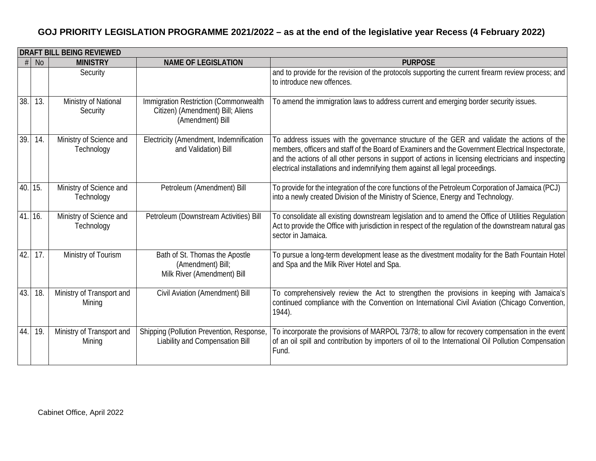|        | <b>DRAFT BILL BEING REVIEWED</b> |                                       |                                                                                                |                                                                                                                                                                                                                                                                                                                                                                                         |  |
|--------|----------------------------------|---------------------------------------|------------------------------------------------------------------------------------------------|-----------------------------------------------------------------------------------------------------------------------------------------------------------------------------------------------------------------------------------------------------------------------------------------------------------------------------------------------------------------------------------------|--|
|        | <b>No</b>                        | <b>MINISTRY</b>                       | <b>NAME OF LEGISLATION</b>                                                                     | <b>PURPOSE</b>                                                                                                                                                                                                                                                                                                                                                                          |  |
|        |                                  | Security                              |                                                                                                | and to provide for the revision of the protocols supporting the current firearm review process; and<br>to introduce new offences.                                                                                                                                                                                                                                                       |  |
| 38.    | 13.                              | Ministry of National<br>Security      | Immigration Restriction (Commonwealth<br>Citizen) (Amendment) Bill; Aliens<br>(Amendment) Bill | To amend the immigration laws to address current and emerging border security issues.                                                                                                                                                                                                                                                                                                   |  |
| 39.    | 14.                              | Ministry of Science and<br>Technology | Electricity (Amendment, Indemnification<br>and Validation) Bill                                | To address issues with the governance structure of the GER and validate the actions of the<br>members, officers and staff of the Board of Examiners and the Government Electrical Inspectorate,<br>and the actions of all other persons in support of actions in licensing electricians and inspecting<br>electrical installations and indemnifying them against all legal proceedings. |  |
| 40.15. |                                  | Ministry of Science and<br>Technology | Petroleum (Amendment) Bill                                                                     | To provide for the integration of the core functions of the Petroleum Corporation of Jamaica (PCJ)<br>into a newly created Division of the Ministry of Science, Energy and Technology.                                                                                                                                                                                                  |  |
| 41.16. |                                  | Ministry of Science and<br>Technology | Petroleum (Downstream Activities) Bill                                                         | To consolidate all existing downstream legislation and to amend the Office of Utilities Regulation<br>Act to provide the Office with jurisdiction in respect of the regulation of the downstream natural gas<br>sector in Jamaica.                                                                                                                                                      |  |
| 42.    | 17.                              | Ministry of Tourism                   | Bath of St. Thomas the Apostle<br>(Amendment) Bill;<br>Milk River (Amendment) Bill             | To pursue a long-term development lease as the divestment modality for the Bath Fountain Hotel<br>and Spa and the Milk River Hotel and Spa.                                                                                                                                                                                                                                             |  |
| 43.    | 18.                              | Ministry of Transport and<br>Mining   | Civil Aviation (Amendment) Bill                                                                | To comprehensively review the Act to strengthen the provisions in keeping with Jamaica's<br>continued compliance with the Convention on International Civil Aviation (Chicago Convention,<br>1944).                                                                                                                                                                                     |  |
| 44.    | 19.                              | Ministry of Transport and<br>Mining   | Shipping (Pollution Prevention, Response,<br>Liability and Compensation Bill                   | To incorporate the provisions of MARPOL 73/78; to allow for recovery compensation in the event<br>of an oil spill and contribution by importers of oil to the International Oil Pollution Compensation<br>Fund.                                                                                                                                                                         |  |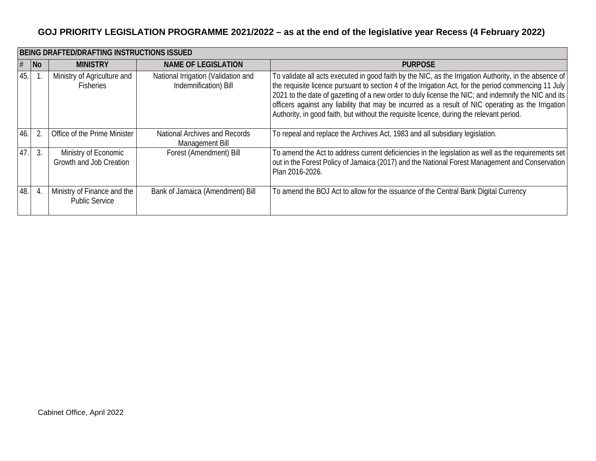|     | BEING DRAFTED/DRAFTING INSTRUCTIONS ISSUED |                                                      |                                                              |                                                                                                                                                                                                                                                                                                                                                                                                                                                                                                                         |  |
|-----|--------------------------------------------|------------------------------------------------------|--------------------------------------------------------------|-------------------------------------------------------------------------------------------------------------------------------------------------------------------------------------------------------------------------------------------------------------------------------------------------------------------------------------------------------------------------------------------------------------------------------------------------------------------------------------------------------------------------|--|
|     | $\overline{\mathsf{No}}$                   | <b>MINISTRY</b>                                      | <b>NAME OF LEGISLATION</b>                                   | <b>PURPOSE</b>                                                                                                                                                                                                                                                                                                                                                                                                                                                                                                          |  |
| 45. |                                            | Ministry of Agriculture and<br><b>Fisheries</b>      | National Irrigation (Validation and<br>Indemnification) Bill | To validate all acts executed in good faith by the NIC, as the Irrigation Authority, in the absence of<br>the requisite licence pursuant to section 4 of the Irrigation Act, for the period commencing 11 July<br>2021 to the date of gazetting of a new order to duly license the NIC; and indemnify the NIC and its<br>officers against any liability that may be incurred as a result of NIC operating as the Irrigation<br>Authority, in good faith, but without the requisite licence, during the relevant period. |  |
| 46. |                                            | Office of the Prime Minister                         | National Archives and Records<br>Management Bill             | To repeal and replace the Archives Act, 1983 and all subsidiary legislation.                                                                                                                                                                                                                                                                                                                                                                                                                                            |  |
| 47. |                                            | Ministry of Economic<br>Growth and Job Creation      | Forest (Amendment) Bill                                      | To amend the Act to address current deficiencies in the legislation as well as the requirements set<br>out in the Forest Policy of Jamaica (2017) and the National Forest Management and Conservation<br>Plan 2016-2026.                                                                                                                                                                                                                                                                                                |  |
| 48. |                                            | Ministry of Finance and the<br><b>Public Service</b> | Bank of Jamaica (Amendment) Bill                             | To amend the BOJ Act to allow for the issuance of the Central Bank Digital Currency                                                                                                                                                                                                                                                                                                                                                                                                                                     |  |